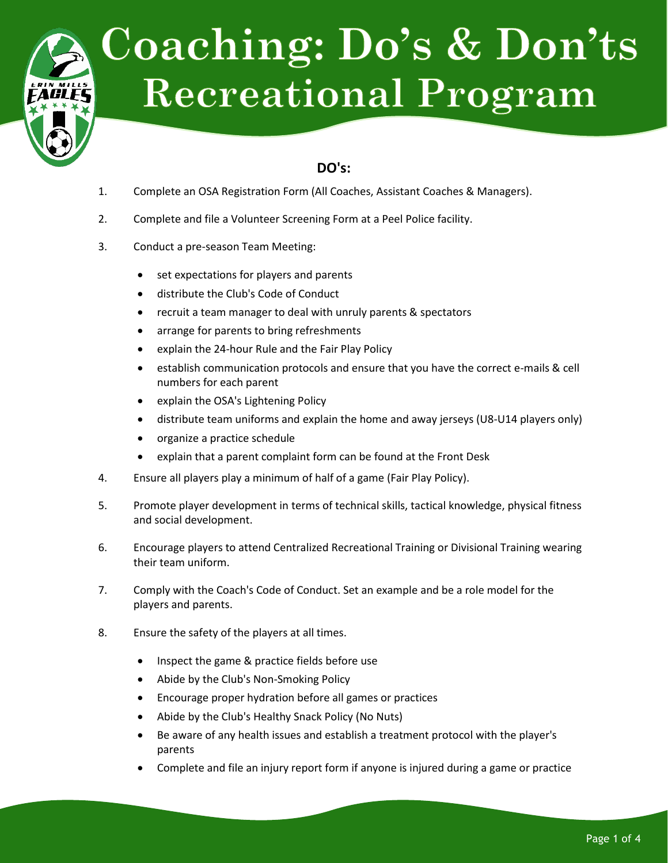

# **Coaching: Do's & Don'ts Recreational Program**

## **DO's:**

- 1. Complete an OSA Registration Form (All Coaches, Assistant Coaches & Managers).
- 2. Complete and file a Volunteer Screening Form at a Peel Police facility.
- 3. Conduct a pre-season Team Meeting:
	- set expectations for players and parents
	- distribute the Club's Code of Conduct
	- recruit a team manager to deal with unruly parents & spectators
	- arrange for parents to bring refreshments
	- explain the 24-hour Rule and the Fair Play Policy
	- establish communication protocols and ensure that you have the correct e-mails & cell numbers for each parent
	- explain the OSA's Lightening Policy
	- distribute team uniforms and explain the home and away jerseys (U8-U14 players only)
	- organize a practice schedule
	- explain that a parent complaint form can be found at the Front Desk
- 4. Ensure all players play a minimum of half of a game (Fair Play Policy).
- 5. Promote player development in terms of technical skills, tactical knowledge, physical fitness and social development.
- 6. Encourage players to attend Centralized Recreational Training or Divisional Training wearing their team uniform.
- 7. Comply with the Coach's Code of Conduct. Set an example and be a role model for the players and parents.
- 8. Ensure the safety of the players at all times.
	- Inspect the game & practice fields before use
	- Abide by the Club's Non-Smoking Policy
	- Encourage proper hydration before all games or practices
	- Abide by the Club's Healthy Snack Policy (No Nuts)
	- Be aware of any health issues and establish a treatment protocol with the player's parents
	- Complete and file an injury report form if anyone is injured during a game or practice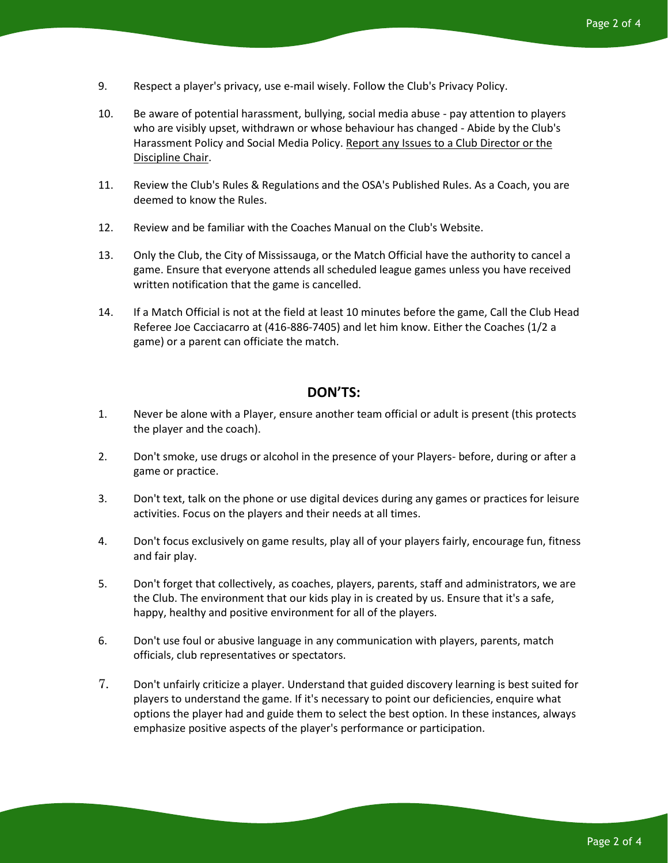- 9. Respect a player's privacy, use e-mail wisely. Follow the Club's Privacy Policy.
- 10. Be aware of potential harassment, bullying, social media abuse pay attention to players who are visibly upset, withdrawn or whose behaviour has changed - Abide by the Club's Harassment Policy and Social Media Policy. Report any Issues to a Club Director or the Discipline Chair.
- 11. Review the Club's Rules & Regulations and the OSA's Published Rules. As a Coach, you are deemed to know the Rules.
- 12. Review and be familiar with the Coaches Manual on the Club's Website.
- 13. Only the Club, the City of Mississauga, or the Match Official have the authority to cancel a game. Ensure that everyone attends all scheduled league games unless you have received written notification that the game is cancelled.
- 14. If a Match Official is not at the field at least 10 minutes before the game, Call the Club Head Referee Joe Cacciacarro at (416-886-7405) and let him know. Either the Coaches (1/2 a game) or a parent can officiate the match.

#### **DON'TS:**

- 1. Never be alone with a Player, ensure another team official or adult is present (this protects the player and the coach).
- 2. Don't smoke, use drugs or alcohol in the presence of your Players- before, during or after a game or practice.
- 3. Don't text, talk on the phone or use digital devices during any games or practices for leisure activities. Focus on the players and their needs at all times.
- 4. Don't focus exclusively on game results, play all of your players fairly, encourage fun, fitness and fair play.
- 5. Don't forget that collectively, as coaches, players, parents, staff and administrators, we are the Club. The environment that our kids play in is created by us. Ensure that it's a safe, happy, healthy and positive environment for all of the players.
- 6. Don't use foul or abusive language in any communication with players, parents, match officials, club representatives or spectators.
- 7. Don't unfairly criticize a player. Understand that guided discovery learning is best suited for players to understand the game. If it's necessary to point our deficiencies, enquire what options the player had and guide them to select the best option. In these instances, always emphasize positive aspects of the player's performance or participation.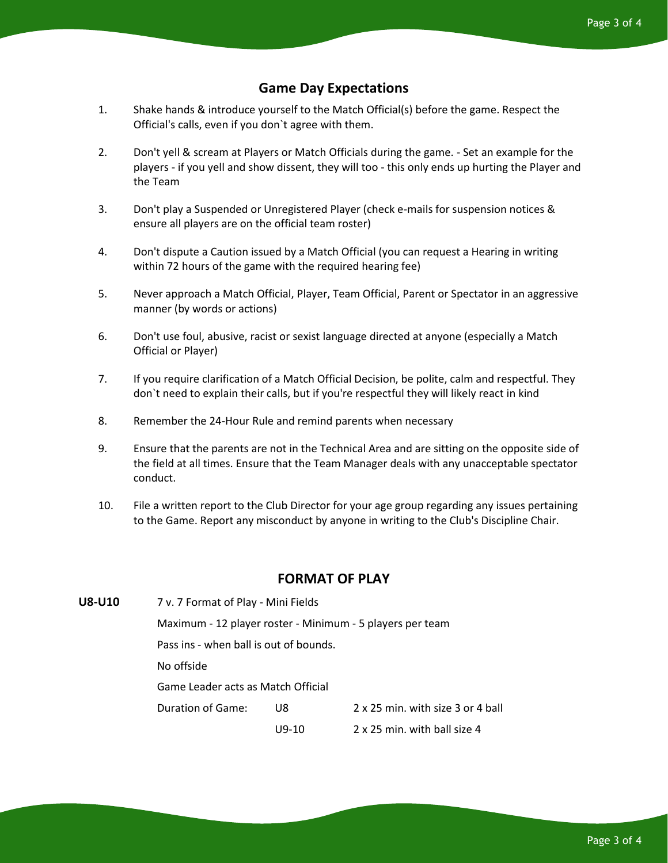#### **Game Day Expectations**

- 1. Shake hands & introduce yourself to the Match Official(s) before the game. Respect the Official's calls, even if you don`t agree with them.
- 2. Don't yell & scream at Players or Match Officials during the game. Set an example for the players - if you yell and show dissent, they will too - this only ends up hurting the Player and the Team
- 3. Don't play a Suspended or Unregistered Player (check e-mails for suspension notices & ensure all players are on the official team roster)
- 4. Don't dispute a Caution issued by a Match Official (you can request a Hearing in writing within 72 hours of the game with the required hearing fee)
- 5. Never approach a Match Official, Player, Team Official, Parent or Spectator in an aggressive manner (by words or actions)
- 6. Don't use foul, abusive, racist or sexist language directed at anyone (especially a Match Official or Player)
- 7. If you require clarification of a Match Official Decision, be polite, calm and respectful. They don`t need to explain their calls, but if you're respectful they will likely react in kind
- 8. Remember the 24-Hour Rule and remind parents when necessary
- 9. Ensure that the parents are not in the Technical Area and are sitting on the opposite side of the field at all times. Ensure that the Team Manager deals with any unacceptable spectator conduct.
- 10. File a written report to the Club Director for your age group regarding any issues pertaining to the Game. Report any misconduct by anyone in writing to the Club's Discipline Chair.

### **FORMAT OF PLAY**

**U8-U10** 7 v. 7 Format of Play - Mini Fields Maximum - 12 player roster - Minimum - 5 players per team Pass ins - when ball is out of bounds. No offside Game Leader acts as Match Official Duration of Game: U8 2 x 25 min. with size 3 or 4 ball U9-10 2 x 25 min. with ball size 4